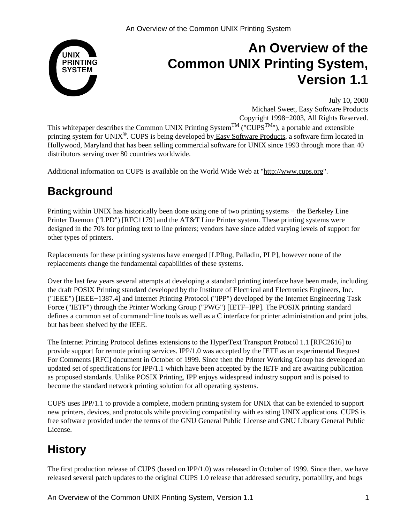

# **An Overview of the Common UNIX Printing System, Version 1.1**

July 10, 2000

Michael Sweet, Easy Software Products Copyright 1998−2003, All Rights Reserved.

This whitepaper describes the Common UNIX Printing System<sup>TM</sup> ("CUPS<sup>TM</sup>"), a portable and extensible printing system for UNIX®. CUPS is being developed b[y Easy Software Products,](http://www.easysw.com) a software firm located in Hollywood, Maryland that has been selling commercial software for UNIX since 1993 through more than 40 distributors serving over 80 countries worldwide.

Additional information on CUPS is available on the World Wide Web at ["http://www.cups.org"](http://www.cups.org).

# **Background**

Printing within UNIX has historically been done using one of two printing systems – the Berkeley Line Printer Daemon ("LPD") [RFC1179] and the AT&T Line Printer system. These printing systems were designed in the 70's for printing text to line printers; vendors have since added varying levels of support for other types of printers.

Replacements for these printing systems have emerged [LPRng, Palladin, PLP], however none of the replacements change the fundamental capabilities of these systems.

Over the last few years several attempts at developing a standard printing interface have been made, including the draft POSIX Printing standard developed by the Institute of Electrical and Electronics Engineers, Inc. ("IEEE") [IEEE−1387.4] and Internet Printing Protocol ("IPP") developed by the Internet Engineering Task Force ("IETF") through the Printer Working Group ("PWG") [IETF−IPP]. The POSIX printing standard defines a common set of command−line tools as well as a C interface for printer administration and print jobs, but has been shelved by the IEEE.

The Internet Printing Protocol defines extensions to the HyperText Transport Protocol 1.1 [RFC2616] to provide support for remote printing services. IPP/1.0 was accepted by the IETF as an experimental Request For Comments [RFC] document in October of 1999. Since then the Printer Working Group has developed an updated set of specifications for IPP/1.1 which have been accepted by the IETF and are awaiting publication as proposed standards. Unlike POSIX Printing, IPP enjoys widespread industry support and is poised to become the standard network printing solution for all operating systems.

CUPS uses IPP/1.1 to provide a complete, modern printing system for UNIX that can be extended to support new printers, devices, and protocols while providing compatibility with existing UNIX applications. CUPS is free software provided under the terms of the GNU General Public License and GNU Library General Public License.

# **History**

The first production release of CUPS (based on IPP/1.0) was released in October of 1999. Since then, we have released several patch updates to the original CUPS 1.0 release that addressed security, portability, and bugs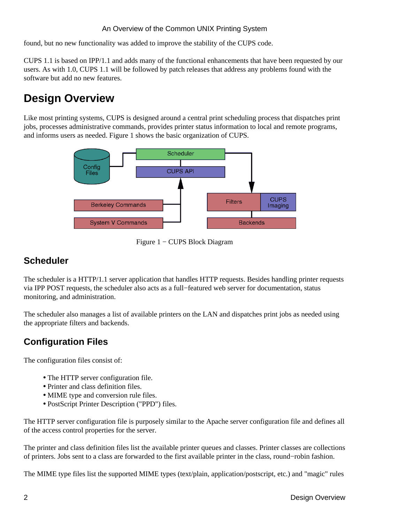found, but no new functionality was added to improve the stability of the CUPS code.

CUPS 1.1 is based on IPP/1.1 and adds many of the functional enhancements that have been requested by our users. As with 1.0, CUPS 1.1 will be followed by patch releases that address any problems found with the software but add no new features.

# **Design Overview**

Like most printing systems, CUPS is designed around a central print scheduling process that dispatches print jobs, processes administrative commands, provides printer status information to local and remote programs, and informs users as needed. Figure 1 shows the basic organization of CUPS.



Figure 1 − CUPS Block Diagram

#### **Scheduler**

The scheduler is a HTTP/1.1 server application that handles HTTP requests. Besides handling printer requests via IPP POST requests, the scheduler also acts as a full−featured web server for documentation, status monitoring, and administration.

The scheduler also manages a list of available printers on the LAN and dispatches print jobs as needed using the appropriate filters and backends.

### **Configuration Files**

The configuration files consist of:

- The HTTP server configuration file.
- Printer and class definition files.
- MIME type and conversion rule files.
- PostScript Printer Description ("PPD") files.

The HTTP server configuration file is purposely similar to the Apache server configuration file and defines all of the access control properties for the server.

The printer and class definition files list the available printer queues and classes. Printer classes are collections of printers. Jobs sent to a class are forwarded to the first available printer in the class, round−robin fashion.

The MIME type files list the supported MIME types (text/plain, application/postscript, etc.) and "magic" rules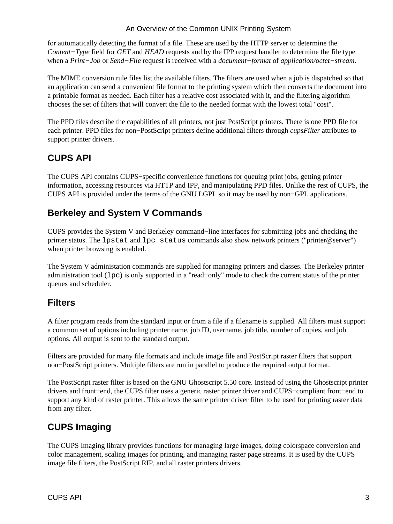#### An Overview of the Common UNIX Printing System

for automatically detecting the format of a file. These are used by the HTTP server to determine the *Content−Type* field for *GET* and *HEAD* requests and by the IPP request handler to determine the file type when a *Print−Job* or *Send−File* request is received with a *document−format* of *application/octet−stream*.

The MIME conversion rule files list the available filters. The filters are used when a job is dispatched so that an application can send a convenient file format to the printing system which then converts the document into a printable format as needed. Each filter has a relative cost associated with it, and the filtering algorithm chooses the set of filters that will convert the file to the needed format with the lowest total "cost".

The PPD files describe the capabilities of all printers, not just PostScript printers. There is one PPD file for each printer. PPD files for non−PostScript printers define additional filters through *cupsFilter* attributes to support printer drivers.

#### **CUPS API**

The CUPS API contains CUPS−specific convenience functions for queuing print jobs, getting printer information, accessing resources via HTTP and IPP, and manipulating PPD files. Unlike the rest of CUPS, the CUPS API is provided under the terms of the GNU LGPL so it may be used by non−GPL applications.

#### **Berkeley and System V Commands**

CUPS provides the System V and Berkeley command−line interfaces for submitting jobs and checking the printer status. The lpstat and lpc status commands also show network printers ("printer@server") when printer browsing is enabled.

The System V administation commands are supplied for managing printers and classes. The Berkeley printer administration tool (lpc) is only supported in a "read−only" mode to check the current status of the printer queues and scheduler.

#### **Filters**

A filter program reads from the standard input or from a file if a filename is supplied. All filters must support a common set of options including printer name, job ID, username, job title, number of copies, and job options. All output is sent to the standard output.

Filters are provided for many file formats and include image file and PostScript raster filters that support non−PostScript printers. Multiple filters are run in parallel to produce the required output format.

The PostScript raster filter is based on the GNU Ghostscript 5.50 core. Instead of using the Ghostscript printer drivers and front−end, the CUPS filter uses a generic raster printer driver and CUPS−compliant front−end to support any kind of raster printer. This allows the same printer driver filter to be used for printing raster data from any filter.

#### **CUPS Imaging**

The CUPS Imaging library provides functions for managing large images, doing colorspace conversion and color management, scaling images for printing, and managing raster page streams. It is used by the CUPS image file filters, the PostScript RIP, and all raster printers drivers.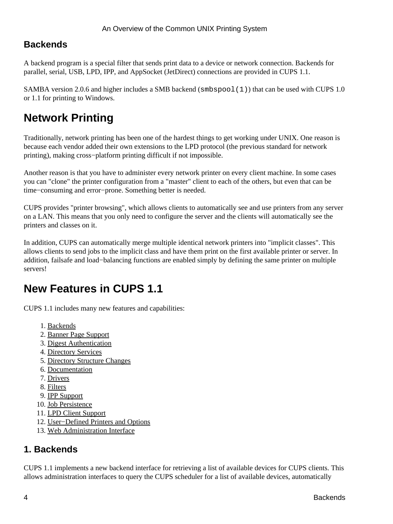#### **Backends**

A backend program is a special filter that sends print data to a device or network connection. Backends for parallel, serial, USB, LPD, IPP, and AppSocket (JetDirect) connections are provided in CUPS 1.1.

SAMBA version 2.0.6 and higher includes a SMB backend ( $\text{subspool}(1)$ ) that can be used with CUPS 1.0 or 1.1 for printing to Windows.

# **Network Printing**

Traditionally, network printing has been one of the hardest things to get working under UNIX. One reason is because each vendor added their own extensions to the LPD protocol (the previous standard for network printing), making cross−platform printing difficult if not impossible.

Another reason is that you have to administer every network printer on every client machine. In some cases you can "clone" the printer configuration from a "master" client to each of the others, but even that can be time−consuming and error−prone. Something better is needed.

CUPS provides "printer browsing", which allows clients to automatically see and use printers from any server on a LAN. This means that you only need to configure the server and the clients will automatically see the printers and classes on it.

In addition, CUPS can automatically merge multiple identical network printers into "implicit classes". This allows clients to send jobs to the implicit class and have them print on the first available printer or server. In addition, failsafe and load−balancing functions are enabled simply by defining the same printer on multiple servers!

# **New Features in CUPS 1.1**

CUPS 1.1 includes many new features and capabilities:

- 1. [Backends](#page-3-0)
- 2. [Banner Page Support](#page-4-0)
- 3. [Digest Authentication](#page-4-1)
- 4. [Directory Services](#page-4-2)
- 5. [Directory Structure Changes](#page-4-3)
- 6. [Documentation](#page-4-4)
- 7. [Drivers](#page-4-5)
- 8. [Filters](#page-4-6)
- 9. [IPP Support](#page-5-0)
- 10. [Job Persistence](#page-5-1)
- 11. [LPD Client Support](#page-5-2)
- 12. [User−Defined Printers and Options](#page-5-3)
- 13. [Web Administration Interface](#page-5-4)

#### <span id="page-3-0"></span>**1. Backends**

CUPS 1.1 implements a new backend interface for retrieving a list of available devices for CUPS clients. This allows administration interfaces to query the CUPS scheduler for a list of available devices, automatically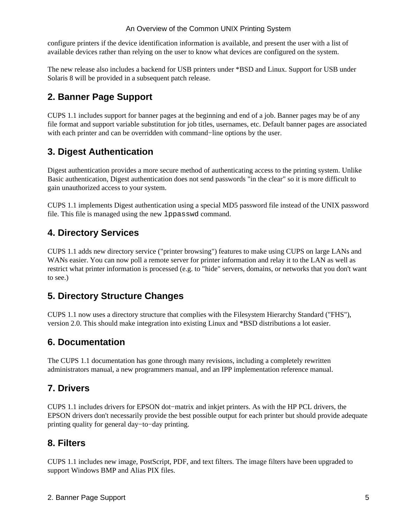configure printers if the device identification information is available, and present the user with a list of available devices rather than relying on the user to know what devices are configured on the system.

The new release also includes a backend for USB printers under \*BSD and Linux. Support for USB under Solaris 8 will be provided in a subsequent patch release.

### <span id="page-4-0"></span>**2. Banner Page Support**

CUPS 1.1 includes support for banner pages at the beginning and end of a job. Banner pages may be of any file format and support variable substitution for job titles, usernames, etc. Default banner pages are associated with each printer and can be overridden with command−line options by the user.

### <span id="page-4-1"></span>**3. Digest Authentication**

Digest authentication provides a more secure method of authenticating access to the printing system. Unlike Basic authentication, Digest authentication does not send passwords "in the clear" so it is more difficult to gain unauthorized access to your system.

CUPS 1.1 implements Digest authentication using a special MD5 password file instead of the UNIX password file. This file is managed using the new lppasswd command.

#### <span id="page-4-2"></span>**4. Directory Services**

CUPS 1.1 adds new directory service ("printer browsing") features to make using CUPS on large LANs and WANs easier. You can now poll a remote server for printer information and relay it to the LAN as well as restrict what printer information is processed (e.g. to "hide" servers, domains, or networks that you don't want to see.)

### <span id="page-4-3"></span>**5. Directory Structure Changes**

CUPS 1.1 now uses a directory structure that complies with the Filesystem Hierarchy Standard ("FHS"), version 2.0. This should make integration into existing Linux and \*BSD distributions a lot easier.

#### <span id="page-4-4"></span>**6. Documentation**

The CUPS 1.1 documentation has gone through many revisions, including a completely rewritten administrators manual, a new programmers manual, and an IPP implementation reference manual.

### <span id="page-4-5"></span>**7. Drivers**

CUPS 1.1 includes drivers for EPSON dot−matrix and inkjet printers. As with the HP PCL drivers, the EPSON drivers don't necessarily provide the best possible output for each printer but should provide adequate printing quality for general day−to−day printing.

#### <span id="page-4-6"></span>**8. Filters**

CUPS 1.1 includes new image, PostScript, PDF, and text filters. The image filters have been upgraded to support Windows BMP and Alias PIX files.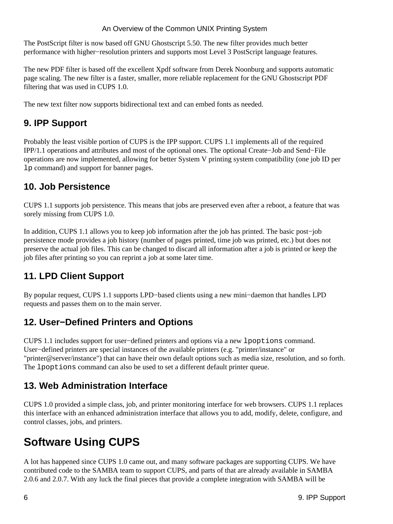#### An Overview of the Common UNIX Printing System

The PostScript filter is now based off GNU Ghostscript 5.50. The new filter provides much better performance with higher−resolution printers and supports most Level 3 PostScript language features.

The new PDF filter is based off the excellent Xpdf software from Derek Noonburg and supports automatic page scaling. The new filter is a faster, smaller, more reliable replacement for the GNU Ghostscript PDF filtering that was used in CUPS 1.0.

The new text filter now supports bidirectional text and can embed fonts as needed.

#### <span id="page-5-0"></span>**9. IPP Support**

Probably the least visible portion of CUPS is the IPP support. CUPS 1.1 implements all of the required IPP/1.1 operations and attributes and most of the optional ones. The optional Create−Job and Send−File operations are now implemented, allowing for better System V printing system compatibility (one job ID per lp command) and support for banner pages.

#### <span id="page-5-1"></span>**10. Job Persistence**

CUPS 1.1 supports job persistence. This means that jobs are preserved even after a reboot, a feature that was sorely missing from CUPS 1.0.

In addition, CUPS 1.1 allows you to keep job information after the job has printed. The basic post−job persistence mode provides a job history (number of pages printed, time job was printed, etc.) but does not preserve the actual job files. This can be changed to discard all information after a job is printed or keep the job files after printing so you can reprint a job at some later time.

### <span id="page-5-2"></span>**11. LPD Client Support**

By popular request, CUPS 1.1 supports LPD−based clients using a new mini−daemon that handles LPD requests and passes them on to the main server.

#### <span id="page-5-3"></span>**12. User−Defined Printers and Options**

CUPS 1.1 includes support for user−defined printers and options via a new lpoptions command. User−defined printers are special instances of the available printers (e.g. "printer/instance" or "printer@server/instance") that can have their own default options such as media size, resolution, and so forth. The lpoptions command can also be used to set a different default printer queue.

#### <span id="page-5-4"></span>**13. Web Administration Interface**

CUPS 1.0 provided a simple class, job, and printer monitoring interface for web browsers. CUPS 1.1 replaces this interface with an enhanced administration interface that allows you to add, modify, delete, configure, and control classes, jobs, and printers.

# **Software Using CUPS**

A lot has happened since CUPS 1.0 came out, and many software packages are supporting CUPS. We have contributed code to the SAMBA team to support CUPS, and parts of that are already available in SAMBA 2.0.6 and 2.0.7. With any luck the final pieces that provide a complete integration with SAMBA will be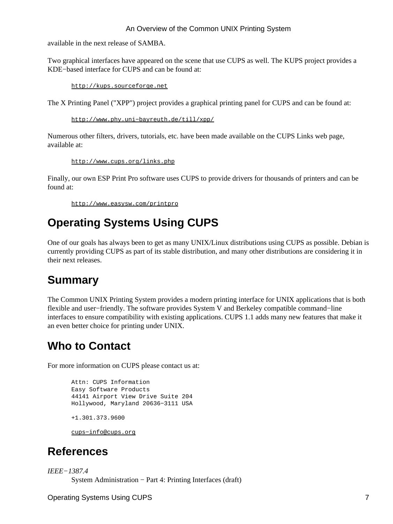#### An Overview of the Common UNIX Printing System

available in the next release of SAMBA.

Two graphical interfaces have appeared on the scene that use CUPS as well. The KUPS project provides a KDE−based interface for CUPS and can be found at:

<http://kups.sourceforge.net>

The X Printing Panel ("XPP") project provides a graphical printing panel for CUPS and can be found at:

[http://www.phy.uni−bayreuth.de/till/xpp/](http://www.phy.uni-bayreuth.de/till/xpp)

Numerous other filters, drivers, tutorials, etc. have been made available on the CUPS Links web page, available at:

<http://www.cups.org/links.php>

Finally, our own ESP Print Pro software uses CUPS to provide drivers for thousands of printers and can be found at:

<http://www.easysw.com/printpro>

## **Operating Systems Using CUPS**

One of our goals has always been to get as many UNIX/Linux distributions using CUPS as possible. Debian is currently providing CUPS as part of its stable distribution, and many other distributions are considering it in their next releases.

### **Summary**

The Common UNIX Printing System provides a modern printing interface for UNIX applications that is both flexible and user−friendly. The software provides System V and Berkeley compatible command−line interfaces to ensure compatibility with existing applications. CUPS 1.1 adds many new features that make it an even better choice for printing under UNIX.

## **Who to Contact**

For more information on CUPS please contact us at:

```
Attn: CUPS Information
Easy Software Products
44141 Airport View Drive Suite 204
Hollywood, Maryland 20636−3111 USA
+1.301.373.9600
```
[cups−info@cups.org](mailto:cups-info@cups.org)

## **References**

*IEEE−1387.4* System Administration − Part 4: Printing Interfaces (draft)